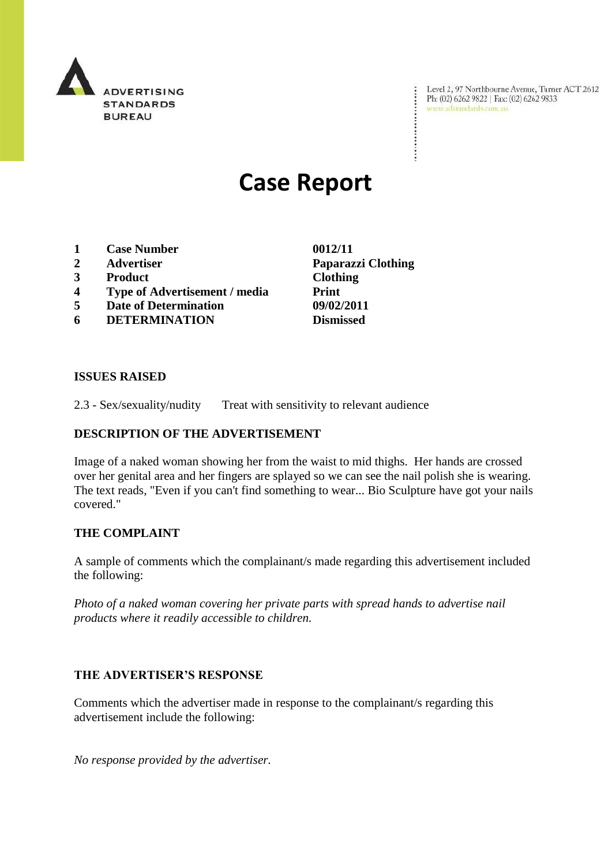

Level 2, 97 Northbourne Avenue, Turner ACT 2612<br>Ph: (02) 6262 9822 | Fax: (02) 6262 9833<br>www.adstandards.com.au

÷

# **Case Report**

- **1 Case Number 0012/11**
- **2 Advertiser Paparazzi Clothing**
- **3 Product Clothing**
- **4 Type of Advertisement / media Print**
- **5 Date of Determination 09/02/2011**
- **6 DETERMINATION Dismissed**

**ISSUES RAISED**

2.3 - Sex/sexuality/nudity Treat with sensitivity to relevant audience

### **DESCRIPTION OF THE ADVERTISEMENT**

Image of a naked woman showing her from the waist to mid thighs. Her hands are crossed over her genital area and her fingers are splayed so we can see the nail polish she is wearing. The text reads, "Even if you can't find something to wear... Bio Sculpture have got your nails covered."

## **THE COMPLAINT**

A sample of comments which the complainant/s made regarding this advertisement included the following:

*Photo of a naked woman covering her private parts with spread hands to advertise nail products where it readily accessible to children.*

## **THE ADVERTISER'S RESPONSE**

Comments which the advertiser made in response to the complainant/s regarding this advertisement include the following:

*No response provided by the advertiser.*